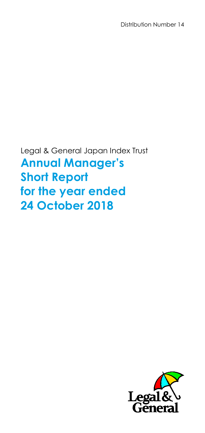Distribution Number 14

Legal & General Japan Index Trust **Annual Manager's Short Report for the year ended 24 October 2018**

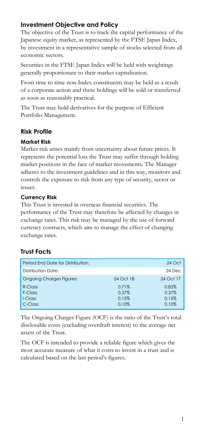# **Investment Objective and Policy**

The objective of the Trust is to track the capital performance of the Japanese equity market, as represented by the FTSE Japan Index, by investment in a representative sample of stocks selected from all economic sectors.

Securities in the FTSE Japan Index will be held with weightings generally proportionate to their market capitalisation.

From time to time non-Index constituents may be held as a result of a corporate action and these holdings will be sold or transferred as soon as reasonably practical.

The Trust may hold derivatives for the purpose of Efficient Portfolio Management.

## **Risk Profile**

## **Market Risk**

Market risk arises mainly from uncertainty about future prices. It represents the potential loss the Trust may suffer through holding market positions in the face of market movements. The Manager adheres to the investment guidelines and in this way, monitors and controls the exposure to risk from any type of security, sector or issuer.

## **Currency Risk**

This Trust is invested in overseas financial securities. The performance of the Trust may therefore be affected by changes in exchange rates. This risk may be managed by the use of forward currency contracts, which aim to manage the effect of changing exchange rates.

# **Trust Facts**

| Period End Date for Distribution: |                | 24 Oct         |
|-----------------------------------|----------------|----------------|
| Distribution Date:                |                | 24 Dec         |
| <b>Ongoing Charges Figures:</b>   | 24 Oct 18      | 24 Oct 17      |
| $R$ -Class<br>F-Class             | 0.71%<br>0.37% | 0.83%<br>0.37% |
| I-Class                           | 0.15%          | 0.15%          |
| C-Class                           | 0.10%          | 0.10%          |

The Ongoing Charges Figure (OCF) is the ratio of the Trust's total disclosable costs (excluding overdraft interest) to the average net assets of the Trust.

The OCF is intended to provide a reliable figure which gives the most accurate measure of what it costs to invest in a trust and is calculated based on the last period's figures.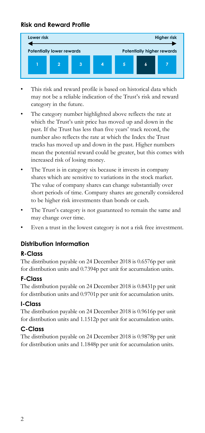## **Risk and Reward Profile**



- This risk and reward profile is based on historical data which may not be a reliable indication of the Trust's risk and reward category in the future.
- The category number highlighted above reflects the rate at which the Trust's unit price has moved up and down in the past. If the Trust has less than five years' track record, the number also reflects the rate at which the Index the Trust tracks has moved up and down in the past. Higher numbers mean the potential reward could be greater, but this comes with increased risk of losing money.
- The Trust is in category six because it invests in company shares which are sensitive to variations in the stock market. The value of company shares can change substantially over short periods of time. Company shares are generally considered to be higher risk investments than bonds or cash.
- The Trust's category is not guaranteed to remain the same and may change over time.
- Even a trust in the lowest category is not a risk free investment.

## **Distribution Information**

## **R-Class**

The distribution payable on 24 December 2018 is 0.6576p per unit for distribution units and 0.7394p per unit for accumulation units.

## **F-Class**

The distribution payable on 24 December 2018 is 0.8431p per unit for distribution units and 0.9701p per unit for accumulation units.

## **I-Class**

The distribution payable on 24 December 2018 is 0.9616p per unit for distribution units and 1.1512p per unit for accumulation units.

## **C-Class**

The distribution payable on 24 December 2018 is 0.9878p per unit for distribution units and 1.1848p per unit for accumulation units.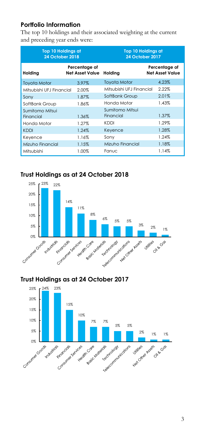# **Portfolio Information**

The top 10 holdings and their associated weighting at the current and preceding year ends were:

| <b>Top 10 Holdings at</b><br><b>24 October 2018</b> |                                         | <b>Top 10 Holdings at</b><br><b>24 October 2017</b> |                                         |  |
|-----------------------------------------------------|-----------------------------------------|-----------------------------------------------------|-----------------------------------------|--|
| Holding                                             | Percentage of<br><b>Net Asset Value</b> | Holding                                             | Percentage of<br><b>Net Asset Value</b> |  |
| <b>Toyota Motor</b>                                 | 3.97%                                   | <b>Toyota Motor</b>                                 | 4.23%                                   |  |
| Mitsubishi UEJ Financial                            | 2.00%                                   | Mitsubishi UEJ Financial                            | 2.22%                                   |  |
| Sony                                                | 1.87%                                   | SoftBank Group                                      | 2.01%                                   |  |
| SoftBank Group                                      | 1.86%                                   | Honda Motor                                         | 1.43%                                   |  |
| Sumitomo Mitsui                                     |                                         | Sumitomo Mitsui                                     |                                         |  |
| Financial                                           | 1.36%                                   | Financial                                           | 1.37%                                   |  |
| Honda Motor                                         | 1.27%                                   | KDDI                                                | 1.29%                                   |  |
| <b>KDDI</b>                                         | 1.24%                                   | Keyence                                             | 1.28%                                   |  |
| Keyence                                             | 1.16%                                   | Sony                                                | 1.24%                                   |  |
| Mizuho Financial                                    | 1.15%                                   | Mizuho Financial                                    | 1.18%                                   |  |
| Mitsubishi                                          | 1.00%                                   | Fanuc                                               | 1.14%                                   |  |

# **Trust Holdings as at 24 October 2018**



## **Trust Holdings as at 24 October 2017**

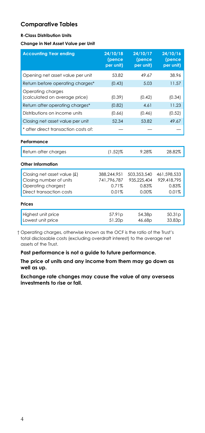## **Comparative Tables**

#### **R-Class Distribution Units**

#### **Change in Net Asset Value per Unit**

| <b>Accounting Year ending</b>                      | 24/10/18<br>(pence<br>per unit) | 24/10/17<br>(pence<br>per unit) | 24/10/16<br>(pence<br>per unit) |
|----------------------------------------------------|---------------------------------|---------------------------------|---------------------------------|
| Opening net asset value per unit                   | 53.82                           | 49.67                           | 38.96                           |
| Return before operating charges*                   | (0.43)                          | 5.03                            | 11.57                           |
| Operating charges<br>(calculated on average price) | (0.39)                          | (0.42)                          | (0.34)                          |
| Return after operating charges*                    | (0.82)                          | 4.61                            | 11.23                           |
| Distributions on income units                      | (0.66)                          | (0.46)                          | (0.52)                          |
| Closing net asset value per unit                   | 52.34                           | 53.82                           | 49.67                           |
| * after direct transaction costs of:               |                                 |                                 |                                 |
| Performance                                        |                                 |                                 |                                 |
| Return after charges                               | $(1.52)\%$                      | 9.28%                           | 28.82%                          |
| Other Information                                  |                                 |                                 |                                 |
| Closing net asset value (£)                        | 388,244,951                     | 503,353,540                     | 461,598,533                     |
| Closing number of units                            | 741.796.787                     | 935.225.404                     | 929.418.795                     |
| Operating chargest<br>Direct transaction costs     | 0.71%<br>0.01%                  | 0.83%<br>0.00%                  | 0.83%<br>0.01%                  |
|                                                    |                                 |                                 |                                 |
| Prices                                             |                                 |                                 |                                 |
| Highest unit price                                 | 57.91p                          | 54.38p                          | 50.31 <sub>p</sub>              |
| Lowest unit price                                  | 51.20p                          | 46.68p                          | 33.83 <sub>p</sub>              |

† Operating charges, otherwise known as the OCF is the ratio of the Trust's total disclosable costs (excluding overdraft interest) to the average net assets of the Trust.

**Past performance is not a guide to future performance.**

**The price of units and any income from them may go down as well as up.**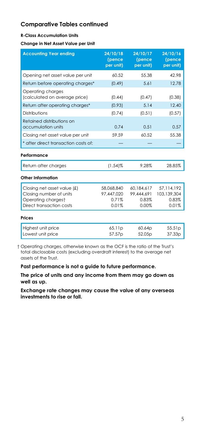#### **R-Class Accumulation Units**

**Change in Net Asset Value per Unit**

| <b>Accounting Year ending</b>                                                                            | 24/10/18<br>(pence<br>per unit)            | 24/10/17<br>(pence<br>per unit)            | 24/10/16<br>(pence<br>per unit)             |
|----------------------------------------------------------------------------------------------------------|--------------------------------------------|--------------------------------------------|---------------------------------------------|
| Opening net asset value per unit                                                                         | 60.52                                      | 55.38                                      | 42.98                                       |
| Return before operating charges*                                                                         | (0.49)                                     | 5.61                                       | 12.78                                       |
| Operating charges<br>(calculated on average price)                                                       | (0.44)                                     | (0.47)                                     | (0.38)                                      |
| Return after operating charges*                                                                          | (0.93)                                     | 5.14                                       | 12.40                                       |
| Distributions                                                                                            | (0.74)                                     | (0.51)                                     | (0.57)                                      |
| Retained distributions on<br>accumulation units                                                          | 0.74                                       | 0.51                                       | 0.57                                        |
| Closing net asset value per unit                                                                         | 59.59                                      | 60.52                                      | 55.38                                       |
| * after direct transaction costs of:                                                                     |                                            |                                            |                                             |
| Performance                                                                                              |                                            |                                            |                                             |
| Return after charges                                                                                     | $(1.54)$ %                                 | 9.28%                                      | 28.85%                                      |
| Other Information                                                                                        |                                            |                                            |                                             |
| Closing net asset value (£)<br>Closing number of units<br>Operating chargest<br>Direct transaction costs | 58,068,840<br>97.447.020<br>0.71%<br>0.01% | 60.184.617<br>99,444,691<br>0.83%<br>0.00% | 57,114,192<br>103,139,304<br>0.83%<br>0.01% |
| Prices                                                                                                   |                                            |                                            |                                             |
| Highest unit price<br>Lowest unit price                                                                  | 65.11 <sub>p</sub><br>57.57p               | 60.64p<br>52.05 <sub>p</sub>               | 55.51p<br>37.33 <sub>D</sub>                |

† Operating charges, otherwise known as the OCF is the ratio of the Trust's total disclosable costs (excluding overdraft interest) to the average net assets of the Trust.

**Past performance is not a guide to future performance.**

**The price of units and any income from them may go down as well as up.**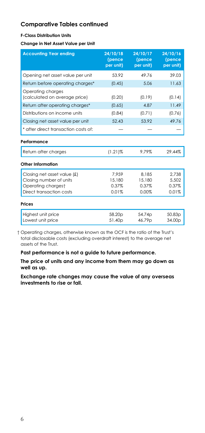#### **F-Class Distribution Units**

**Change in Net Asset Value per Unit**

| <b>Accounting Year ending</b>                      | 24/10/18<br>(pence<br>per unit) | 24/10/17<br>(pence<br>per unit) | 24/10/16<br>(pence<br>per unit) |
|----------------------------------------------------|---------------------------------|---------------------------------|---------------------------------|
| Opening net asset value per unit                   | 53.92                           | 49.76                           | 39.03                           |
| Return before operating charges*                   | (0.45)                          | 5.06                            | 11.63                           |
| Operating charges<br>(calculated on average price) | (0.20)                          | (0.19)                          | (0.14)                          |
| Return after operating charges*                    | (0.65)                          | 4.87                            | 11.49                           |
| Distributions on income units                      | (0.84)                          | (0.71)                          | (0.76)                          |
| Closing net asset value per unit                   | 52.43                           | 53.92                           | 49.76                           |
| * after direct transaction costs of:               |                                 |                                 |                                 |
| Performance                                        |                                 |                                 |                                 |
| Return after charges                               | $(1.21)$ %                      | 9.79%                           | 29.44%                          |
| Other Information                                  |                                 |                                 |                                 |
| Closing net asset value (£)                        | 7.959                           | 8.185                           | 2.738                           |
| Closing number of units                            | 15,180                          | 15,180                          | 5,502                           |
| Operating chargest                                 | 0.37%                           | 0.37%                           | 0.37%                           |
| Direct transaction costs                           | 0.01%                           | 0.00%                           | 0.01%                           |
| Prices                                             |                                 |                                 |                                 |
| Highest unit price<br>Lowest unit price            | 58.20 <sub>p</sub><br>51.40p    | 54.74p<br>46.79p                | 50.83 <sub>p</sub><br>34.00p    |

† Operating charges, otherwise known as the OCF is the ratio of the Trust's total disclosable costs (excluding overdraft interest) to the average net assets of the Trust.

**Past performance is not a guide to future performance.**

**The price of units and any income from them may go down as well as up.**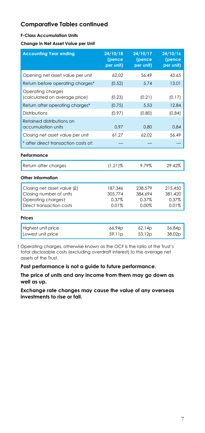#### **F-Class Accumulation Units**

#### **Change in Net Asset Value per Unit**

| <b>Accounting Year ending</b>                                                                            | 24/10/18<br>(pence<br>per unit)      | 24/10/17<br>(pence<br>per unit)      | 24/10/16<br>(pence<br>per unit)      |
|----------------------------------------------------------------------------------------------------------|--------------------------------------|--------------------------------------|--------------------------------------|
| Opening net asset value per unit                                                                         | 62.02                                | 56.49                                | 43.65                                |
| Return before operating charges*                                                                         | (0.52)                               | 5.74                                 | 13.01                                |
| Operating charges<br>(calculated on average price)                                                       | (0.23)                               | (0.21)                               | (0.17)                               |
| Return after operating charges*                                                                          | (0.75)                               | 5.53                                 | 12.84                                |
| Distributions                                                                                            | (0.97)                               | (0.80)                               | (0.84)                               |
| Retained distributions on<br>accumulation units                                                          | 0.97                                 | 0.80                                 | 0.84                                 |
| Closing net asset value per unit                                                                         | 61.27                                | 62.02                                | 56.49                                |
| * after direct transaction costs of:                                                                     |                                      |                                      |                                      |
| Performance                                                                                              |                                      |                                      |                                      |
| Return after charges                                                                                     | $(1.21)\%$                           | 9.79%                                | 29.42%                               |
| Other Information                                                                                        |                                      |                                      |                                      |
| Closing net asset value (£)<br>Closing number of units<br>Operating chargest<br>Direct transaction costs | 187,346<br>305.774<br>0.37%<br>0.01% | 238,579<br>384.694<br>0.37%<br>0.00% | 215,450<br>381,420<br>0.37%<br>0.01% |
| Prices                                                                                                   |                                      |                                      |                                      |
| Highest unit price<br>Lowest unit price                                                                  | 66.94p<br>59.11p                     | 62.14p<br>53.12p                     | 56.84p<br>38.02p                     |

† Operating charges, otherwise known as the OCF is the ratio of the Trust's total disclosable costs (excluding overdraft interest) to the average net assets of the Trust.

**Past performance is not a guide to future performance.**

**The price of units and any income from them may go down as well as up.**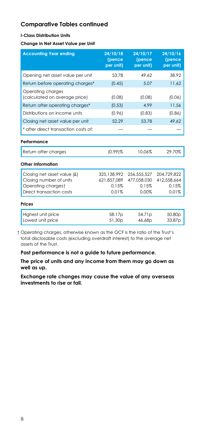#### **I-Class Distribution Units**

**Change in Net Asset Value per Unit**

| <b>Accounting Year ending</b>                                                                            | 24/10/18<br>(pence<br>per unit)              | 24/10/17<br>(pence<br>per unit)              | 24/10/16<br>(pence<br>per unit)              |
|----------------------------------------------------------------------------------------------------------|----------------------------------------------|----------------------------------------------|----------------------------------------------|
| Opening net asset value per unit                                                                         | 53.78                                        | 49.62                                        | 38.92                                        |
| Return before operating charges*                                                                         | (0.45)                                       | 5.07                                         | 11.62                                        |
| Operating charges<br>(calculated on average price)                                                       | (0.08)                                       | (0.08)                                       | (0.06)                                       |
| Return after operating charges*                                                                          | (0.53)                                       | 4.99                                         | 11.56                                        |
| Distributions on income units                                                                            | (0.96)                                       | (0.83)                                       | (0.86)                                       |
| Closing net asset value per unit                                                                         | 52.29                                        | 53.78                                        | 49.62                                        |
| * after direct transaction costs of:                                                                     |                                              |                                              |                                              |
| Performance                                                                                              |                                              |                                              |                                              |
| Return after charges                                                                                     | $(0.99)$ %                                   | 10.06%                                       | 29.70%                                       |
| Other Information                                                                                        |                                              |                                              |                                              |
| Closing net asset value (£)<br>Closing number of units<br>Operating chargest<br>Direct transaction costs | 325,138,992<br>621.857.089<br>0.15%<br>0.01% | 256.555.527<br>477.058.030<br>0.15%<br>0.00% | 204.729.822<br>412.558.664<br>0.15%<br>0.01% |
| Prices                                                                                                   |                                              |                                              |                                              |
| Highest unit price<br>Lowest unit price                                                                  | 58.17p<br>51.30 <sub>p</sub>                 | 54.71p<br>46.68p                             | 50.80 <sub>p</sub><br>33.87p                 |

† Operating charges, otherwise known as the OCF is the ratio of the Trust's total disclosable costs (excluding overdraft interest) to the average net assets of the Trust.

**Past performance is not a guide to future performance.**

**The price of units and any income from them may go down as well as up.**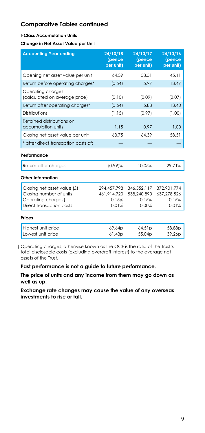#### **I-Class Accumulation Units**

**Change in Net Asset Value per Unit**

| <b>Accounting Year ending</b>                                                                            | 24/10/18<br>(pence<br>per unit)              | 24/10/17<br>(pence<br>per unit)              | 24/10/16<br>(pence<br>per unit)              |
|----------------------------------------------------------------------------------------------------------|----------------------------------------------|----------------------------------------------|----------------------------------------------|
| Opening net asset value per unit                                                                         | 64.39                                        | 58.51                                        | 45.11                                        |
| Return before operating charges*                                                                         | (0.54)                                       | 5.97                                         | 13.47                                        |
| Operating charges<br>(calculated on average price)                                                       | (0.10)                                       | (0.09)                                       | (0.07)                                       |
| Return after operating charges*                                                                          | (0.64)                                       | 5.88                                         | 13.40                                        |
| Distributions                                                                                            | (1.15)                                       | (0.97)                                       | (1.00)                                       |
| Retained distributions on<br>accumulation units                                                          | 1.15                                         | 0.97                                         | 1.00                                         |
| Closing net asset value per unit                                                                         | 63.75                                        | 64.39                                        | 58.51                                        |
| * after direct transaction costs of:                                                                     |                                              |                                              |                                              |
| Performance                                                                                              |                                              |                                              |                                              |
| Return after charges                                                                                     | $(0.99)$ %                                   | 10.05%                                       | 29.71%                                       |
| Other Information                                                                                        |                                              |                                              |                                              |
| Closing net asset value (£)<br>Closing number of units<br>Operating chargest<br>Direct transaction costs | 294,457,798<br>461,914,720<br>0.15%<br>0.01% | 346,552,117<br>538,240,890<br>0.15%<br>0.00% | 372,901,774<br>637,278,526<br>0.15%<br>0.01% |
| Prices                                                                                                   |                                              |                                              |                                              |
| Highest unit price<br>Lowest unit price                                                                  | 69.64p<br>61.43p                             | 64.51p<br>55.04p                             | 58.88p<br>39.26p                             |

† Operating charges, otherwise known as the OCF is the ratio of the Trust's total disclosable costs (excluding overdraft interest) to the average net assets of the Trust.

**Past performance is not a guide to future performance.**

**The price of units and any income from them may go down as well as up.**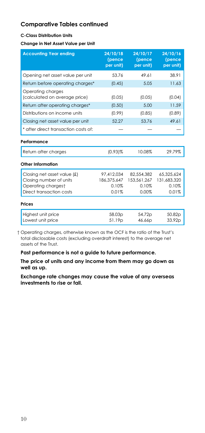#### **C-Class Distribution Units**

**Change in Net Asset Value per Unit**

| <b>Accounting Year ending</b>                      | 24/10/18<br>(pence<br>per unit) | 24/10/17<br>(pence<br>per unit) | 24/10/16<br>(pence<br>per unit) |
|----------------------------------------------------|---------------------------------|---------------------------------|---------------------------------|
| Opening net asset value per unit                   | 53.76                           | 49.61                           | 38.91                           |
| Return before operating charges*                   | (0.45)                          | 5.05                            | 11.63                           |
| Operating charges<br>(calculated on average price) | (0.05)                          | (0.05)                          | (0.04)                          |
| Return after operating charges*                    | (0.50)                          | 5.00                            | 11.59                           |
| Distributions on income units                      | (0.99)                          | (0.85)                          | (0.89)                          |
| Closing net asset value per unit                   | 52.27                           | 53.76                           | 49.61                           |
| * after direct transaction costs of:               |                                 |                                 |                                 |
| Performance                                        |                                 |                                 |                                 |
| Return after charges                               | $(0.93)$ %                      | 10.08%                          | 29.79%                          |
| Other Information                                  |                                 |                                 |                                 |
| Closing net asset value (£)                        | 97.412.034                      | 82.554.382                      | 65.325.624                      |
| Closing number of units                            | 186.375.647                     | 153,561,267                     | 131.683.320                     |
| Operating chargest                                 | 0.10%                           | 0.10%                           | 0.10%                           |
| Direct transaction costs                           | 0.01%                           | 0.00%                           | 0.01%                           |
| Prices                                             |                                 |                                 |                                 |
| Highest unit price                                 | 58.03p                          | 54.72p                          | 50.82p                          |
| Lowest unit price                                  | 51.19 <sub>p</sub>              | 46.66p                          | 33.92p                          |

† Operating charges, otherwise known as the OCF is the ratio of the Trust's total disclosable costs (excluding overdraft interest) to the average net assets of the Trust.

**Past performance is not a guide to future performance.**

**The price of units and any income from them may go down as well as up.**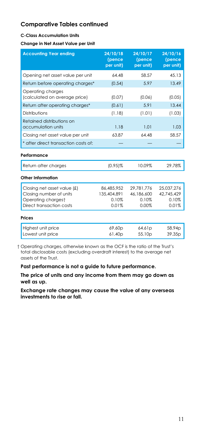#### **C-Class Accumulation Units**

**Change in Net Asset Value per Unit**

| <b>Accounting Year ending</b>                                                                            | 24/10/18<br>(pence<br>per unit)             | 24/10/17<br>(pence<br>per unit)            | 24/10/16<br>(pence<br>per unit)            |
|----------------------------------------------------------------------------------------------------------|---------------------------------------------|--------------------------------------------|--------------------------------------------|
| Opening net asset value per unit                                                                         | 64.48                                       | 58.57                                      | 45.13                                      |
| Return before operating charges*                                                                         | (0.54)                                      | 5.97                                       | 13.49                                      |
| Operating charges<br>(calculated on average price)                                                       | (0.07)                                      | (0.06)                                     | (0.05)                                     |
| Return after operating charges*                                                                          | (0.61)                                      | 5.91                                       | 13.44                                      |
| Distributions                                                                                            | (1.18)                                      | (1.01)                                     | (1.03)                                     |
| Retained distributions on<br>accumulation units                                                          | 1.18                                        | 1.01                                       | 1.03                                       |
| Closing net asset value per unit                                                                         | 63.87                                       | 64.48                                      | 58.57                                      |
| * after direct transaction costs of:                                                                     |                                             |                                            |                                            |
| Performance                                                                                              |                                             |                                            |                                            |
| Return after charges                                                                                     | $(0.95)\%$                                  | 10.09%                                     | 29.78%                                     |
| Other Information                                                                                        |                                             |                                            |                                            |
| Closing net asset value (£)<br>Closing number of units<br>Operating chargest<br>Direct transaction costs | 86,485,952<br>135.404.891<br>0.10%<br>0.01% | 29,781,776<br>46,186,600<br>0.10%<br>0.00% | 25,037,276<br>42.745.429<br>0.10%<br>0.01% |
| Prices                                                                                                   |                                             |                                            |                                            |
| Highest unit price<br>Lowest unit price                                                                  | 69.60p<br>61.40p                            | 64.61p<br>55.10 <sub>p</sub>               | 58.94p<br>39.35p                           |

† Operating charges, otherwise known as the OCF is the ratio of the Trust's total disclosable costs (excluding overdraft interest) to the average net assets of the Trust.

**Past performance is not a guide to future performance.**

**The price of units and any income from them may go down as well as up.**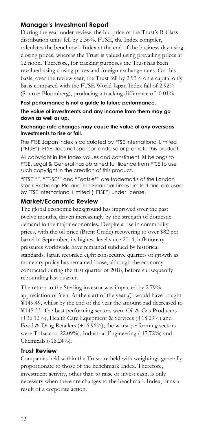## **Manager's Investment Report**

During the year under review, the bid price of the Trust's R-Class distribution units fell by 2.36%. FTSE, the Index compiler, calculates the benchmark Index at the end of the business day using closing prices, whereas the Trust is valued using prevailing prices at 12 noon. Therefore, for tracking purposes the Trust has been revalued using closing prices and foreign exchange rates. On this basis, over the review year, the Trust fell by 2.93% on a capital only basis compared with the FTSE World Japan Index fall of 2.92% (Source: Bloomberg), producing a tracking difference of -0.01%.

#### **Past performance is not a guide to future performance.**

**The value of investments and any income from them may go down as well as up.**

#### **Exchange rate changes may cause the value of any overseas investments to rise or fall.**

The FTSE Japan Index is calculated by FTSE International Limited ("FTSE"). FTSE does not sponsor, endorse or promote this product.

All copyright in the Index values and constituent list belongs to FTSE. Legal & General has obtained full licence from FTSE to use such copyright in the creation of this product.

"FTSETM", "FT-SE®" and "Footsie®" are trademarks of the London Stock Exchange Plc and The Financial Times Limited and are used by FTSE International Limited ("FTSE") under license.

#### **Market/Economic Review**

The global economic background has improved over the past twelve months, driven increasingly by the strength of domestic demand in the major economies. Despite a rise in commodity prices, with the oil price (Brent Crude) recovering to over \$82 per barrel in September, its highest level since 2014, inflationary pressures worldwide have remained subdued by historical standards. Japan recorded eight consecutive quarters of growth as monetary policy has remained loose, although the economy contracted during the first quarter of 2018, before subsequently rebounding last quarter.

The return to the Sterling investor was impacted by 2.79% appreciation of Yen. At the start of the year  $f<sub>1</sub>$  would have bought ¥149.49, whilst by the end of the year the amount had decreased to ¥145.33. The best performing sectors were Oil & Gas Producers (+36.12%), Health Care Equipment & Services (+18.29%) and Food & Drug Retailers (+16.96%); the worst performing sectors were Tobacco (-22.09%), Industrial Engineering (-17.72%) and Chemicals (-16.24%).

#### **Trust Review**

Companies held within the Trust are held with weightings generally proportionate to those of the benchmark Index. Therefore, investment activity, other than to raise or invest cash, is only necessary when there are changes to the benchmark Index, or as a result of a corporate action.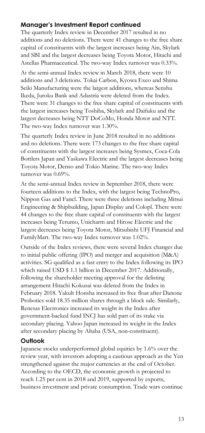## **Manager's Investment Report continued**

The quarterly Index review in December 2017 resulted in no additions and no deletions. There were 41 changes to the free share capital of constituents with the largest increases being Ain, Skylark and SBI and the largest decreases being Toyota Motor, Hitachi and Astellas Pharmaceutical. The two-way Index turnover was 0.33%.

At the semi-annual Index review in March 2018, there were 10 additions and 3 deletions. Tokai Carbon, Kyowa Exeo and Shima Seiki Manufacturing were the largest additions, whereas Senshu Ikeda, Juroku Bank and Adastria were deleted from the Index. There were 31 changes to the free share capital of constituents with the largest increases being Toshiba, Skylark and Daifuku and the largest decreases being NTT DoCoMo, Honda Motor and NTT. The two-way Index turnover was 1.30%.

The quarterly Index review in June 2018 resulted in no additions and no deletions. There were 173 changes to the free share capital of constituents with the largest increases being Sysmex, Coca-Cola Bottlers Japan and Yaskawa Electric and the largest decreases being Toyota Motor, Denso and Tokio Marine. The two-way Index turnover was 0.69%.

At the semi-annual Index review in September 2018, there were fourteen additions to the Index, with the largest being TechnoPro, Nippon Gas and Fancl. There were three deletions including Mitsui Engineering & Shipbuilding, Japan Display and Colopl. There were 44 changes to the free share capital of constituents with the largest increases being Terumo, Unicharm and Hirose Electric and the largest decreases being Toyota Motor, Mitsubishi UFJ Financial and FamilyMart. The two-way Index turnover was 1.02%.

Outside of the Index reviews, there were several Index changes due to initial public offering (IPO) and merger and acquisition (M&A) activities. SG qualified as a fast entry to the Index following its IPO which raised USD \$ 1.1 billion in December 2017. Additionally, following the shareholder meeting approval for the delisting arrangement Hitachi Kokusai was deleted from the Index in February 2018. Yakult Honsha increased its free float after Danone Probotics sold 18.35 million shares through a block sale. Similarly, Renesas Electronics increased its weight in the Index after government-backed fund INCJ has sold part of its stake via secondary placing. Yahoo Japan increased its weight in the Index after secondary placing by Altaba (USA, non-constituent).

## **Outlook**

Japanese stocks underperformed global equities by 1.6% over the review year, with investors adopting a cautious approach as the Yen strengthened against the major currencies at the end of October. According to the OECD, the economic growth is projected to reach 1.25 per cent in 2018 and 2019, supported by exports, business investment and private consumption. Trade wars continue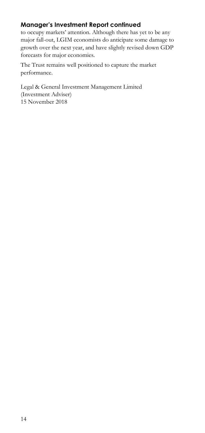# **Manager's Investment Report continued**

to occupy markets' attention. Although there has yet to be any major fall-out, LGIM economists do anticipate some damage to growth over the next year, and have slightly revised down GDP forecasts for major economies.

The Trust remains well positioned to capture the market performance.

Legal & General Investment Management Limited (Investment Adviser) 15 November 2018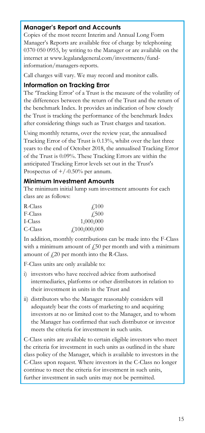## **Manager's Report and Accounts**

Copies of the most recent Interim and Annual Long Form Manager's Reports are available free of charge by telephoning 0370 050 0955, by writing to the Manager or are available on the internet at www.legalandgeneral.com/investments/fundinformation/managers-reports.

Call charges will vary. We may record and monitor calls.

#### **Information on Tracking Error**

The 'Tracking Error' of a Trust is the measure of the volatility of the differences between the return of the Trust and the return of the benchmark Index. It provides an indication of how closely the Trust is tracking the performance of the benchmark Index after considering things such as Trust charges and taxation.

Using monthly returns, over the review year, the annualised Tracking Error of the Trust is 0.13%, whilst over the last three years to the end of October 2018, the annualised Tracking Error of the Trust is 0.09%. These Tracking Errors are within the anticipated Tracking Error levels set out in the Trust's Prospectus of  $+/-0.50\%$  per annum.

## **Minimum Investment Amounts**

The minimum initial lump sum investment amounts for each class are as follows:

| R-Class | $\angle 100$                     |
|---------|----------------------------------|
| F-Class | <b>£500</b>                      |
| I-Class | 1,000,000                        |
| C-Class | $\textcolor{blue}{f100,000,000}$ |

In addition, monthly contributions can be made into the F-Class with a minimum amount of  $\text{\emph{f}}50$  per month and with a minimum amount of  $f(20)$  per month into the R-Class.

F-Class units are only available to:

- i) investors who have received advice from authorised intermediaries, platforms or other distributors in relation to their investment in units in the Trust and
- ii) distributors who the Manager reasonably considers will adequately bear the costs of marketing to and acquiring investors at no or limited cost to the Manager, and to whom the Manager has confirmed that such distributor or investor meets the criteria for investment in such units.

C-Class units are available to certain eligible investors who meet the criteria for investment in such units as outlined in the share class policy of the Manager, which is available to investors in the C-Class upon request. Where investors in the C-Class no longer continue to meet the criteria for investment in such units, further investment in such units may not be permitted.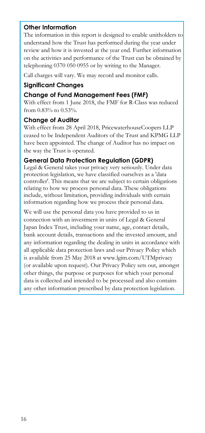## **Other Information**

The information in this report is designed to enable unitholders to understand how the Trust has performed during the year under review and how it is invested at the year end. Further information on the activities and performance of the Trust can be obtained by telephoning 0370 050 0955 or by writing to the Manager.

Call charges will vary. We may record and monitor calls.

## **Significant Changes**

## **Change of Fund Management Fees (FMF)**

With effect from 1 June 2018, the FMF for R-Class was reduced from 0.83% to 0.53%.

#### **Change of Auditor**

With effect from 28 April 2018, PricewaterhouseCoopers LLP ceased to be Independent Auditors of the Trust and KPMG LLP have been appointed. The change of Auditor has no impact on the way the Trust is operated.

## **General Data Protection Regulation (GDPR)**

Legal & General takes your privacy very seriously. Under data protection legislation, we have classified ourselves as a 'data controller'. This means that we are subject to certain obligations relating to how we process personal data. These obligations include, without limitation, providing individuals with certain information regarding how we process their personal data.

We will use the personal data you have provided to us in connection with an investment in units of Legal & General Japan Index Trust, including your name, age, contact details, bank account details, transactions and the invested amount, and any information regarding the dealing in units in accordance with all applicable data protection laws and our Privacy Policy which is available from 25 May 2018 at www.lgim.com/UTMprivacy (or available upon request). Our Privacy Policy sets out, amongst other things, the purpose or purposes for which your personal data is collected and intended to be processed and also contains any other information prescribed by data protection legislation.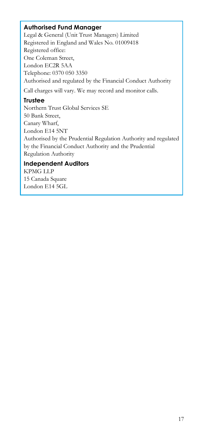## **Authorised Fund Manager**

Legal & General (Unit Trust Managers) Limited Registered in England and Wales No. 01009418 Registered office: One Coleman Street, London EC2R 5AA Telephone: 0370 050 3350 Authorised and regulated by the Financial Conduct Authority

Call charges will vary. We may record and monitor calls.

# **Trustee**

Northern Trust Global Services SE 50 Bank Street, Canary Wharf, London E14 5NT Authorised by the Prudential Regulation Authority and regulated by the Financial Conduct Authority and the Prudential Regulation Authority

## **Independent Auditors**

KPMG LLP 15 Canada Square London E14 5GL